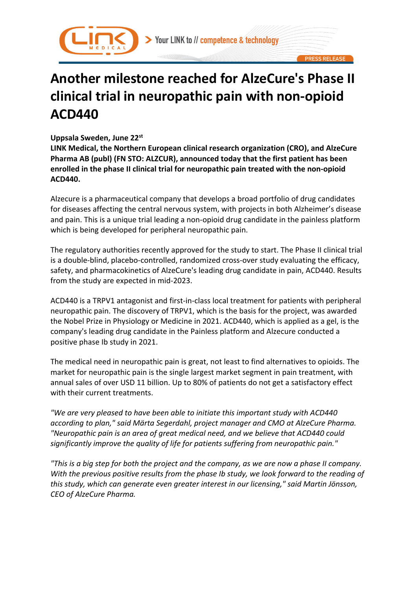



# **Another milestone reached for AlzeCure's Phase II clinical trial in neuropathic pain with non-opioid ACD440**

## **Uppsala Sweden, June 22st**

**LINK Medical, the Northern European clinical research organization (CRO), and AlzeCure Pharma AB (publ) (FN STO: ALZCUR), announced today that the first patient has been enrolled in the phase II clinical trial for neuropathic pain treated with the non-opioid ACD440.**

Alzecure is a pharmaceutical company that develops a broad portfolio of drug candidates for diseases affecting the central nervous system, with projects in both Alzheimer's disease and pain. This is a unique trial leading a non-opioid drug candidate in the painless platform which is being developed for peripheral neuropathic pain.

The regulatory authorities recently approved for the study to start. The Phase II clinical trial is a double-blind, placebo-controlled, randomized cross-over study evaluating the efficacy, safety, and pharmacokinetics of AlzeCure's leading drug candidate in pain, ACD440. Results from the study are expected in mid-2023.

ACD440 is a TRPV1 antagonist and first-in-class local treatment for patients with peripheral neuropathic pain. The discovery of TRPV1, which is the basis for the project, was awarded the Nobel Prize in Physiology or Medicine in 2021. ACD440, which is applied as a gel, is the company's leading drug candidate in the Painless platform and Alzecure conducted a positive phase Ib study in 2021.

The medical need in neuropathic pain is great, not least to find alternatives to opioids. The market for neuropathic pain is the single largest market segment in pain treatment, with annual sales of over USD 11 billion. Up to 80% of patients do not get a satisfactory effect with their current treatments.

*"We are very pleased to have been able to initiate this important study with ACD440 according to plan," said Märta Segerdahl, project manager and CMO at AlzeCure Pharma. "Neuropathic pain is an area of great medical need, and we believe that ACD440 could significantly improve the quality of life for patients suffering from neuropathic pain."*

*"This is a big step for both the project and the company, as we are now a phase II company. With the previous positive results from the phase Ib study, we look forward to the reading of this study, which can generate even greater interest in our licensing," said Martin Jönsson, CEO of AlzeCure Pharma.*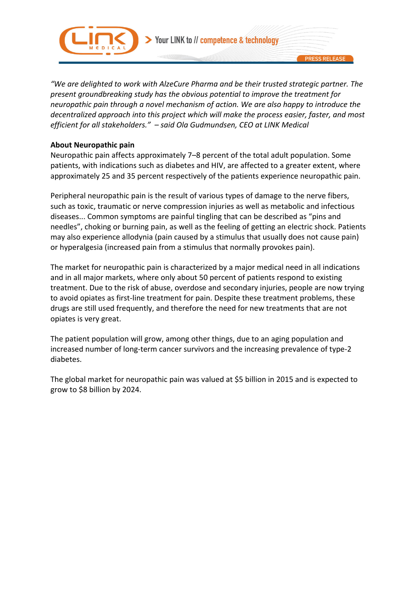

Your LINK to // competence & technology

*"We are delighted to work with AlzeCure Pharma and be their trusted strategic partner. The present groundbreaking study has the obvious potential to improve the treatment for neuropathic pain through a novel mechanism of action. We are also happy to introduce the decentralized approach into this project which will make the process easier, faster, and most efficient for all stakeholders." – said Ola Gudmundsen, CEO at LINK Medical*

### **About Neuropathic pain**

Neuropathic pain affects approximately 7–8 percent of the total adult population. Some patients, with indications such as diabetes and HIV, are affected to a greater extent, where approximately 25 and 35 percent respectively of the patients experience neuropathic pain.

Peripheral neuropathic pain is the result of various types of damage to the nerve fibers, such as toxic, traumatic or nerve compression injuries as well as metabolic and infectious diseases... Common symptoms are painful tingling that can be described as "pins and needles", choking or burning pain, as well as the feeling of getting an electric shock. Patients may also experience allodynia (pain caused by a stimulus that usually does not cause pain) or hyperalgesia (increased pain from a stimulus that normally provokes pain).

The market for neuropathic pain is characterized by a major medical need in all indications and in all major markets, where only about 50 percent of patients respond to existing treatment. Due to the risk of abuse, overdose and secondary injuries, people are now trying to avoid opiates as first-line treatment for pain. Despite these treatment problems, these drugs are still used frequently, and therefore the need for new treatments that are not opiates is very great.

The patient population will grow, among other things, due to an aging population and increased number of long-term cancer survivors and the increasing prevalence of type-2 diabetes.

The global market for neuropathic pain was valued at \$5 billion in 2015 and is expected to grow to \$8 billion by 2024.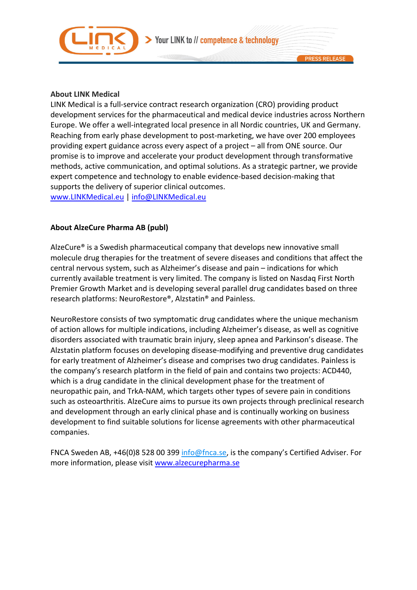



LINK Medical is a full-service contract research organization (CRO) providing product development services for the pharmaceutical and medical device industries across Northern Europe. We offer a well-integrated local presence in all Nordic countries, UK and Germany. Reaching from early phase development to post-marketing, we have over 200 employees providing expert guidance across every aspect of a project – all from ONE source. Our promise is to improve and accelerate your product development through transformative methods, active communication, and optimal solutions. As a strategic partner, we provide expert competence and technology to enable evidence-based decision-making that supports the delivery of superior clinical outcomes.

www.LINKMedical.eu | info@LINKMedical.eu

### **About AlzeCure Pharma AB (publ)**

AlzeCure® is a Swedish pharmaceutical company that develops new innovative small molecule drug therapies for the treatment of severe diseases and conditions that affect the central nervous system, such as Alzheimer's disease and pain – indications for which currently available treatment is very limited. The company is listed on Nasdaq First North Premier Growth Market and is developing several parallel drug candidates based on three research platforms: NeuroRestore®, Alzstatin® and Painless.

NeuroRestore consists of two symptomatic drug candidates where the unique mechanism of action allows for multiple indications, including Alzheimer's disease, as well as cognitive disorders associated with traumatic brain injury, sleep apnea and Parkinson's disease. The Alzstatin platform focuses on developing disease-modifying and preventive drug candidates for early treatment of Alzheimer's disease and comprises two drug candidates. Painless is the company's research platform in the field of pain and contains two projects: ACD440, which is a drug candidate in the clinical development phase for the treatment of neuropathic pain, and TrkA-NAM, which targets other types of severe pain in conditions such as osteoarthritis. AlzeCure aims to pursue its own projects through preclinical research and development through an early clinical phase and is continually working on business development to find suitable solutions for license agreements with other pharmaceutical companies.

FNCA Sweden AB, +46(0)8 528 00 399 info@fnca.se, is the company's Certified Adviser. For more information, please visit www.alzecurepharma.se